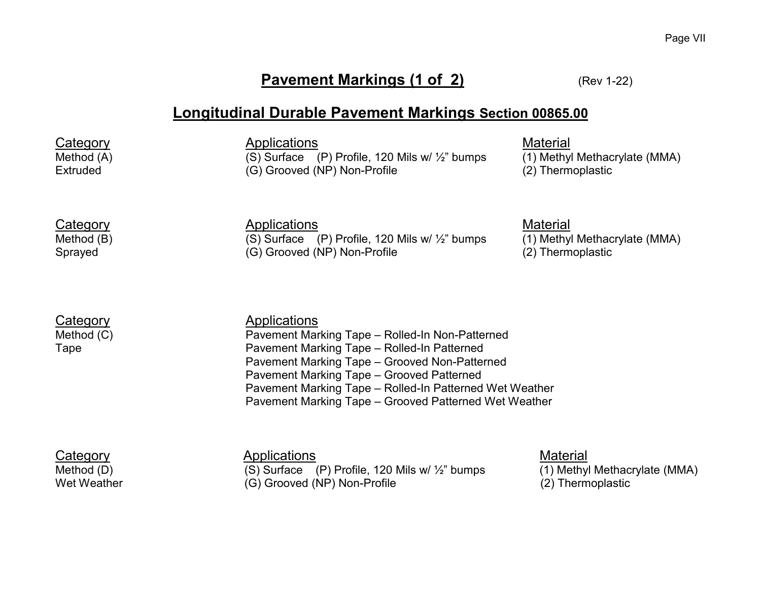### **Pavement Markings (1 of 2)** (Rev 1-22)

### **Longitudinal Durable Pavement Markings Section 00865.00**

Category <u>Applications</u><br>Method (A) (S) Surface (P) Profile, 120 Mils w/ ½" bumps (1) Methyl  $\overline{(S)}$  Surface (P) Profile, 120 Mils w/  $\frac{1}{2}$ " bumps (1) Methyl Methacrylate (MMA) Extruded (G) Grooved (NP) Non-Profile (2) Thermoplastic

Category Material<br>Method (B) Method (B) (S) Surface (P) Profile, 120 Mils w/ 1/2" bumps (1) Methy Sprayed (G) Grooved (NP) Non-Profile

Category **Applications**<br>Method (C) **Applications**<br>Pavement Mar Pavement Marking Tape – Rolled-In Non-Patterned Tape Pavement Marking Tape – Rolled-In Patterned Pavement Marking Tape – Grooved Non-Patterned Pavement Marking Tape – Grooved Patterned Pavement Marking Tape – Rolled-In Patterned Wet Weather Pavement Marking Tape – Grooved Patterned Wet Weather

Category 6. [1] Applications Applications Applications [Material Material Method (D) Category (S) Surface (P) Profile, 120 Mils w/  $\frac{V_2}{V_2}$  bumps [1] Methyl Methacrylate (MMA) (S) Surface (P) Profile, 120 Mils w/  $\frac{1}{2}$ " bumps Wet Weather (G) Grooved (NP) Non-Profile (2) Thermoplastic

(S) Surface (P) Profile, 120 Mils w/  $\frac{1}{2}$ " bumps (1) Methyl Methacrylate (MMA) (G) Grooved (NP) Non-Profile (1) Thermoplastic